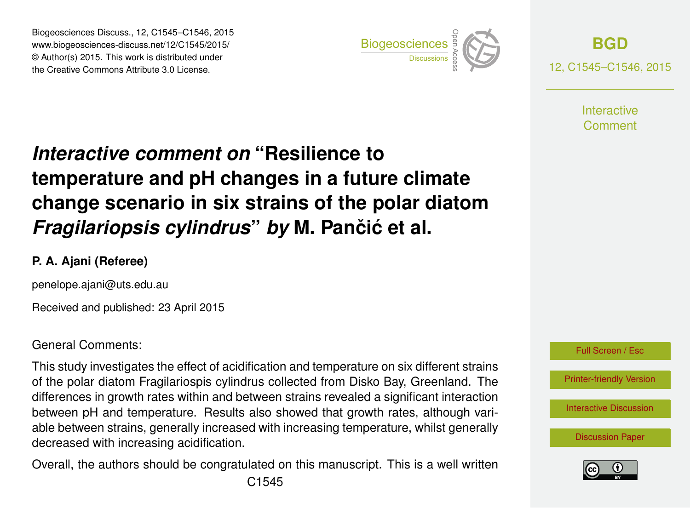Biogeosciences Discuss., 12, C1545–C1546, 2015 www.biogeosciences-discuss.net/12/C1545/2015/ © Author(s) 2015. This work is distributed under Biogeosciences Discuss., 12, C1545–C1546, 2015<br>www.biogeosciences-discuss.net/12/C1545/2015/<br>© Author(s) 2015. This work is distributed under<br>the Creative Commons Attribute 3.0 License.



**[BGD](http://www.biogeosciences-discuss.net)** 12, C1545–C1546, 2015

> **Interactive** Comment

## *Interactive comment on* **"Resilience to temperature and pH changes in a future climate change scenario in six strains of the polar diatom** *Fragilariopsis cylindrus by* M. Pančić et al.

## **P. A. Ajani (Referee)**

penelope.ajani@uts.edu.au

Received and published: 23 April 2015

General Comments:

This study investigates the effect of acidification and temperature on six different strains of the polar diatom Fragilariospis cylindrus collected from Disko Bay, Greenland. The differences in growth rates within and between strains revealed a significant interaction between pH and temperature. Results also showed that growth rates, although variable between strains, generally increased with increasing temperature, whilst generally decreased with increasing acidification.

Overall, the authors should be congratulated on this manuscript. This is a well written